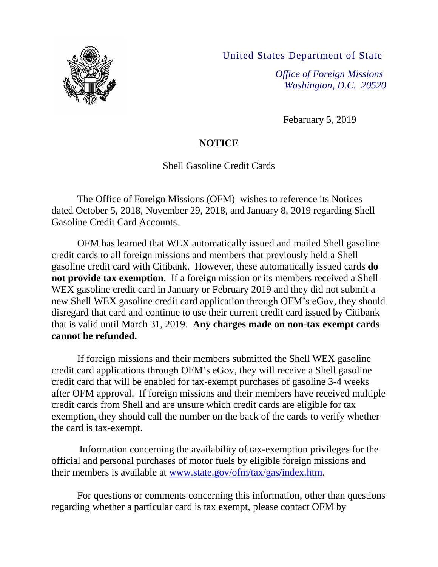United States Department of State



*Office of Foreign Missions Washington, D.C. 20520*

Febaruary 5, 2019

## **NOTICE**

Shell Gasoline Credit Cards

The Office of Foreign Missions (OFM) wishes to reference its Notices dated October 5, 2018, November 29, 2018, and January 8, 2019 regarding Shell Gasoline Credit Card Accounts.

OFM has learned that WEX automatically issued and mailed Shell gasoline credit cards to all foreign missions and members that previously held a Shell gasoline credit card with Citibank. However, these automatically issued cards **do not provide tax exemption**. If a foreign mission or its members received a Shell WEX gasoline credit card in January or February 2019 and they did not submit a new Shell WEX gasoline credit card application through OFM's eGov, they should disregard that card and continue to use their current credit card issued by Citibank that is valid until March 31, 2019. **Any charges made on non-tax exempt cards cannot be refunded.**

If foreign missions and their members submitted the Shell WEX gasoline credit card applications through OFM's eGov, they will receive a Shell gasoline credit card that will be enabled for tax-exempt purchases of gasoline 3-4 weeks after OFM approval. If foreign missions and their members have received multiple credit cards from Shell and are unsure which credit cards are eligible for tax exemption, they should call the number on the back of the cards to verify whether the card is tax-exempt.

Information concerning the availability of tax-exemption privileges for the official and personal purchases of motor fuels by eligible foreign missions and their members is available at [www.state.gov/ofm/tax/gas/index.htm.](http://www.state.gov/ofm/tax/gas/index.htm)

For questions or comments concerning this information, other than questions regarding whether a particular card is tax exempt, please contact OFM by